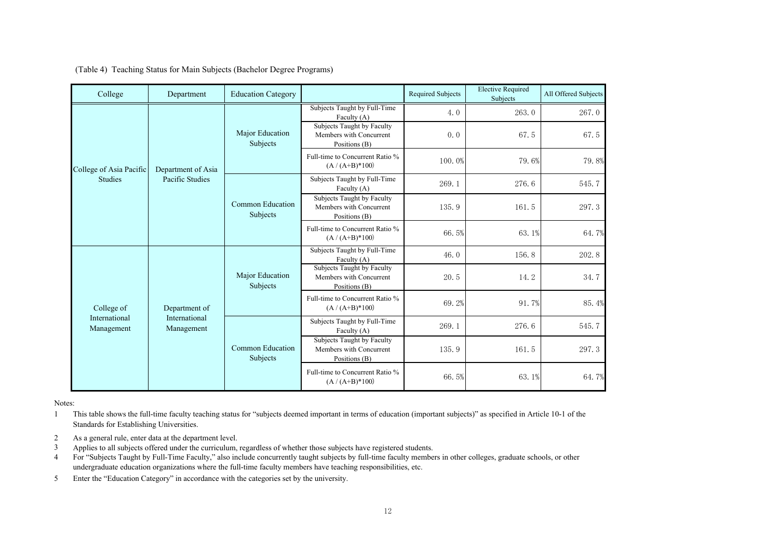|  |  |  | (Table 4) Teaching Status for Main Subjects (Bachelor Degree Programs) |  |
|--|--|--|------------------------------------------------------------------------|--|
|  |  |  |                                                                        |  |

| College                     | Department                                   | <b>Education Category</b>    |                                                                        | <b>Required Subjects</b> | <b>Elective Required</b><br>Subjects | All Offered Subjects |
|-----------------------------|----------------------------------------------|------------------------------|------------------------------------------------------------------------|--------------------------|--------------------------------------|----------------------|
|                             | Department of Asia<br>Pacific Studies        | Major Education<br>Subjects  | Subjects Taught by Full-Time<br>Faculty (A)                            | 4.0                      | 263.0                                | 267.0                |
|                             |                                              |                              | Subjects Taught by Faculty<br>Members with Concurrent<br>Positions (B) | 0.0                      | 67.5                                 | 67.5                 |
| College of Asia Pacific     |                                              |                              | Full-time to Concurrent Ratio %<br>$(A / (A+B)*100)$                   | 100.0%                   | 79.6%                                | 79.8%                |
| <b>Studies</b>              |                                              | Common Education<br>Subjects | Subjects Taught by Full-Time<br>Faculty (A)                            | 269.1                    | 276.6                                | 545.7                |
|                             |                                              |                              | Subjects Taught by Faculty<br>Members with Concurrent<br>Positions (B) | 135.9                    | 161.5                                | 297.3                |
|                             |                                              |                              | Full-time to Concurrent Ratio %<br>$(A / (A+B)*100)$                   | 66.5%                    | 63.1%                                | 64.7%                |
|                             | Department of<br>International<br>Management | Major Education<br>Subjects  | Subjects Taught by Full-Time<br>Faculty (A)                            | 46.0                     | 156.8                                | 202.8                |
|                             |                                              |                              | Subjects Taught by Faculty<br>Members with Concurrent<br>Positions (B) | 20.5                     | 14.2                                 | 34.7                 |
| College of                  |                                              |                              | Full-time to Concurrent Ratio %<br>$(A / (A+B)*100)$                   | 69.2%                    | 91.7%                                | 85.4%                |
| International<br>Management |                                              | Common Education<br>Subjects | Subjects Taught by Full-Time<br>Faculty $(A)$                          | 269.1                    | 276.6                                | 545.7                |
|                             |                                              |                              | Subjects Taught by Faculty<br>Members with Concurrent<br>Positions (B) | 135.9                    | 161.5                                | 297.3                |
|                             |                                              |                              | Full-time to Concurrent Ratio %<br>$(A / (A+B)*100)$                   | 66.5%                    | 63.1%                                | 64.7%                |

Notes:

1 This table shows the full-time faculty teaching status for "subjects deemed important in terms of education (important subjects)" as specified in Article 10-1 of the Standards for Establishing Universities.

- 2 As a general rule, enter data at the department level.
- 3 Applies to all subjects offered under the curriculum, regardless of whether those subjects have registered students.
- 4 For "Subjects Taught by Full-Time Faculty," also include concurrently taught subjects by full-time faculty members in other colleges, graduate schools, or other undergraduate education organizations where the full-time faculty members have teaching responsibilities, etc.
- 5 Enter the "Education Category" in accordance with the categories set by the university.